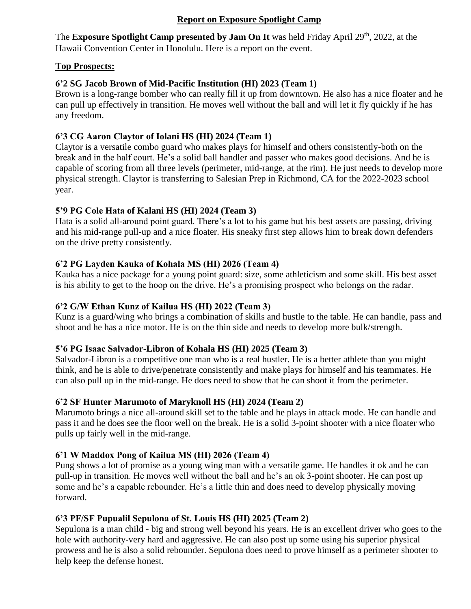### **Report on Exposure Spotlight Camp**

The Exposure Spotlight Camp presented by Jam On It was held Friday April 29<sup>th</sup>, 2022, at the Hawaii Convention Center in Honolulu. Here is a report on the event.

#### **Top Prospects:**

## **6'2 SG Jacob Brown of Mid-Pacific Institution (HI) 2023 (Team 1)**

Brown is a long-range bomber who can really fill it up from downtown. He also has a nice floater and he can pull up effectively in transition. He moves well without the ball and will let it fly quickly if he has any freedom.

### **6'3 CG Aaron Claytor of Iolani HS (HI) 2024 (Team 1)**

Claytor is a versatile combo guard who makes plays for himself and others consistently-both on the break and in the half court. He's a solid ball handler and passer who makes good decisions. And he is capable of scoring from all three levels (perimeter, mid-range, at the rim). He just needs to develop more physical strength. Claytor is transferring to Salesian Prep in Richmond, CA for the 2022-2023 school year.

### **5'9 PG Cole Hata of Kalani HS (HI) 2024 (Team 3)**

Hata is a solid all-around point guard. There's a lot to his game but his best assets are passing, driving and his mid-range pull-up and a nice floater. His sneaky first step allows him to break down defenders on the drive pretty consistently.

### **6'2 PG Layden Kauka of Kohala MS (HI) 2026 (Team 4)**

Kauka has a nice package for a young point guard: size, some athleticism and some skill. His best asset is his ability to get to the hoop on the drive. He's a promising prospect who belongs on the radar.

### **6'2 G/W Ethan Kunz of Kailua HS (HI) 2022 (Team 3)**

Kunz is a guard/wing who brings a combination of skills and hustle to the table. He can handle, pass and shoot and he has a nice motor. He is on the thin side and needs to develop more bulk/strength.

#### **5'6 PG Isaac Salvador-Libron of Kohala HS (HI) 2025 (Team 3)**

Salvador-Libron is a competitive one man who is a real hustler. He is a better athlete than you might think, and he is able to drive/penetrate consistently and make plays for himself and his teammates. He can also pull up in the mid-range. He does need to show that he can shoot it from the perimeter.

# **6'2 SF Hunter Marumoto of Maryknoll HS (HI) 2024 (Team 2)**

Marumoto brings a nice all-around skill set to the table and he plays in attack mode. He can handle and pass it and he does see the floor well on the break. He is a solid 3-point shooter with a nice floater who pulls up fairly well in the mid-range.

# **6'1 W Maddox Pong of Kailua MS (HI) 2026 (Team 4)**

Pung shows a lot of promise as a young wing man with a versatile game. He handles it ok and he can pull-up in transition. He moves well without the ball and he's an ok 3-point shooter. He can post up some and he's a capable rebounder. He's a little thin and does need to develop physically moving forward.

#### **6'3 PF/SF Pupualil Sepulona of St. Louis HS (HI) 2025 (Team 2)**

Sepulona is a man child - big and strong well beyond his years. He is an excellent driver who goes to the hole with authority-very hard and aggressive. He can also post up some using his superior physical prowess and he is also a solid rebounder. Sepulona does need to prove himself as a perimeter shooter to help keep the defense honest.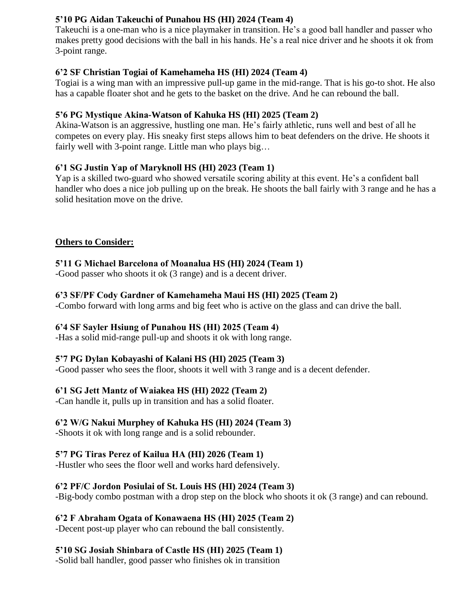## **5'10 PG Aidan Takeuchi of Punahou HS (HI) 2024 (Team 4)**

Takeuchi is a one-man who is a nice playmaker in transition. He's a good ball handler and passer who makes pretty good decisions with the ball in his hands. He's a real nice driver and he shoots it ok from 3-point range.

### **6'2 SF Christian Togiai of Kamehameha HS (HI) 2024 (Team 4)**

Togiai is a wing man with an impressive pull-up game in the mid-range. That is his go-to shot. He also has a capable floater shot and he gets to the basket on the drive. And he can rebound the ball.

### **5'6 PG Mystique Akina-Watson of Kahuka HS (HI) 2025 (Team 2)**

Akina-Watson is an aggressive, hustling one man. He's fairly athletic, runs well and best of all he competes on every play. His sneaky first steps allows him to beat defenders on the drive. He shoots it fairly well with 3-point range. Little man who plays big...

### **6'1 SG Justin Yap of Maryknoll HS (HI) 2023 (Team 1)**

Yap is a skilled two-guard who showed versatile scoring ability at this event. He's a confident ball handler who does a nice job pulling up on the break. He shoots the ball fairly with 3 range and he has a solid hesitation move on the drive.

#### **Others to Consider:**

### **5'11 G Michael Barcelona of Moanalua HS (HI) 2024 (Team 1)**

-Good passer who shoots it ok (3 range) and is a decent driver.

#### **6'3 SF/PF Cody Gardner of Kamehameha Maui HS (HI) 2025 (Team 2)**

-Combo forward with long arms and big feet who is active on the glass and can drive the ball.

#### **6'4 SF Sayler Hsiung of Punahou HS (HI) 2025 (Team 4)**

-Has a solid mid-range pull-up and shoots it ok with long range.

# **5'7 PG Dylan Kobayashi of Kalani HS (HI) 2025 (Team 3)**

-Good passer who sees the floor, shoots it well with 3 range and is a decent defender.

# **6'1 SG Jett Mantz of Waiakea HS (HI) 2022 (Team 2)**

-Can handle it, pulls up in transition and has a solid floater.

# **6'2 W/G Nakui Murphey of Kahuka HS (HI) 2024 (Team 3)**

-Shoots it ok with long range and is a solid rebounder.

# **5'7 PG Tiras Perez of Kailua HA (HI) 2026 (Team 1)**

-Hustler who sees the floor well and works hard defensively.

# **6'2 PF/C Jordon Posiulai of St. Louis HS (HI) 2024 (Team 3)**

-Big-body combo postman with a drop step on the block who shoots it ok (3 range) and can rebound.

# **6'2 F Abraham Ogata of Konawaena HS (HI) 2025 (Team 2)**

-Decent post-up player who can rebound the ball consistently.

# **5'10 SG Josiah Shinbara of Castle HS (HI) 2025 (Team 1)**

-Solid ball handler, good passer who finishes ok in transition